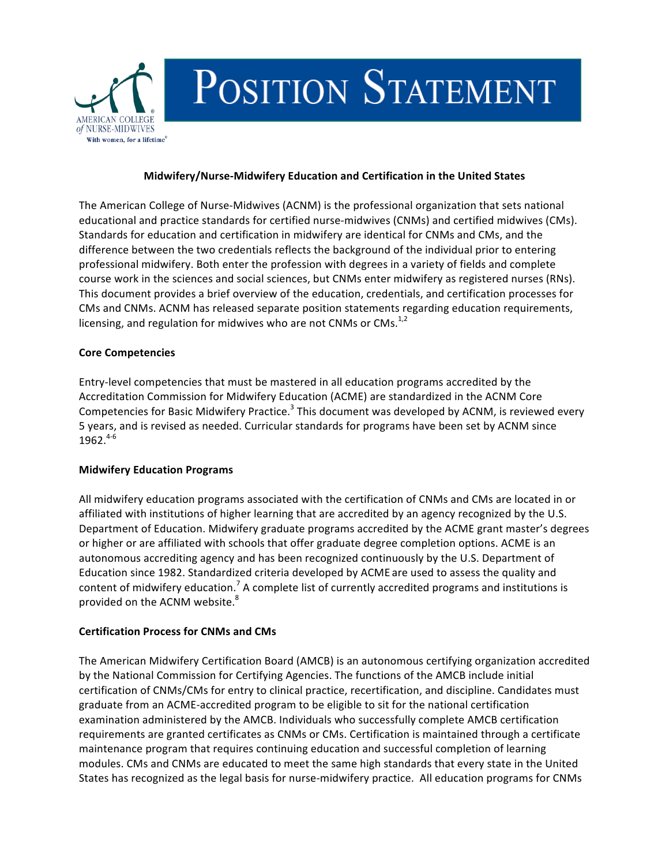

# POSITION STATEMENT

### **Midwifery/Nurse-Midwifery Education and Certification in the United States**

The American College of Nurse-Midwives (ACNM) is the professional organization that sets national educational and practice standards for certified nurse-midwives (CNMs) and certified midwives (CMs). Standards for education and certification in midwifery are identical for CNMs and CMs, and the difference between the two credentials reflects the background of the individual prior to entering professional midwifery. Both enter the profession with degrees in a variety of fields and complete course work in the sciences and social sciences, but CNMs enter midwifery as registered nurses (RNs). This document provides a brief overview of the education, credentials, and certification processes for CMs and CNMs. ACNM has released separate position statements regarding education requirements, licensing, and regulation for midwives who are not CNMs or CMs.<sup>1,2</sup>

#### **Core Competencies**

Entry-level competencies that must be mastered in all education programs accredited by the Accreditation Commission for Midwifery Education (ACME) are standardized in the ACNM Core Competencies for Basic Midwifery Practice.<sup>3</sup> This document was developed by ACNM, is reviewed every 5 years, and is revised as needed. Curricular standards for programs have been set by ACNM since 1962. 4-6

#### **Midwifery Education Programs**

All midwifery education programs associated with the certification of CNMs and CMs are located in or affiliated with institutions of higher learning that are accredited by an agency recognized by the U.S. Department of Education. Midwifery graduate programs accredited by the ACME grant master's degrees or higher or are affiliated with schools that offer graduate degree completion options. ACME is an autonomous accrediting agency and has been recognized continuously by the U.S. Department of Education since 1982. Standardized criteria developed by ACME are used to assess the quality and content of midwifery education.<sup>7</sup> A complete list of currently accredited programs and institutions is provided on the ACNM website.<sup>8</sup>

#### **Certification Process for CNMs and CMs**

The American Midwifery Certification Board (AMCB) is an autonomous certifying organization accredited by the National Commission for Certifying Agencies. The functions of the AMCB include initial certification of CNMs/CMs for entry to clinical practice, recertification, and discipline. Candidates must graduate from an ACME-accredited program to be eligible to sit for the national certification examination administered by the AMCB. Individuals who successfully complete AMCB certification requirements are granted certificates as CNMs or CMs. Certification is maintained through a certificate maintenance program that requires continuing education and successful completion of learning modules. CMs and CNMs are educated to meet the same high standards that every state in the United States has recognized as the legal basis for nurse-midwifery practice. All education programs for CNMs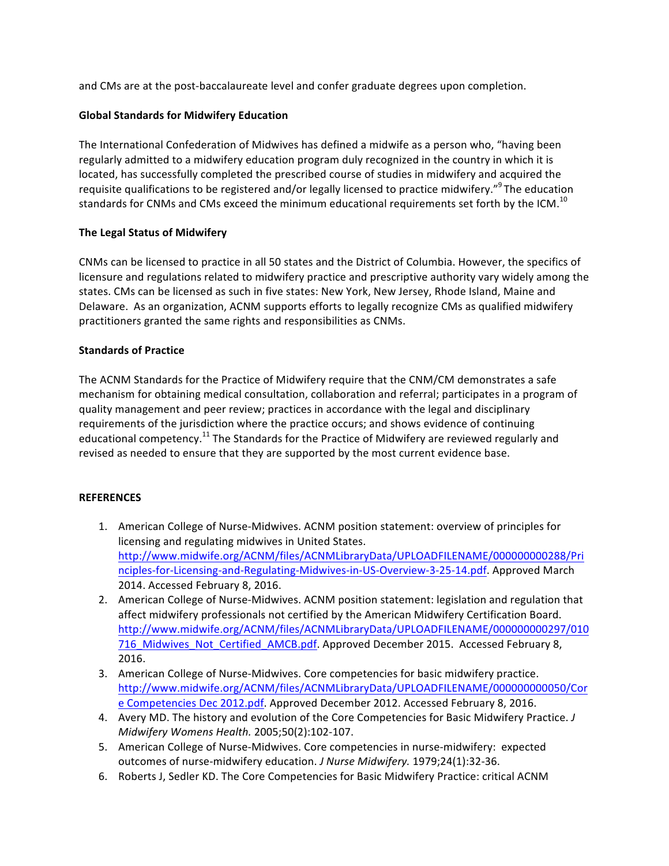and CMs are at the post-baccalaureate level and confer graduate degrees upon completion.

## **Global Standards for Midwifery Education**

The International Confederation of Midwives has defined a midwife as a person who, "having been regularly admitted to a midwifery education program duly recognized in the country in which it is located, has successfully completed the prescribed course of studies in midwifery and acquired the requisite qualifications to be registered and/or legally licensed to practice midwifery." The education standards for CNMs and CMs exceed the minimum educational requirements set forth by the ICM.<sup>10</sup>

## **The Legal Status of Midwifery**

CNMs can be licensed to practice in all 50 states and the District of Columbia. However, the specifics of licensure and regulations related to midwifery practice and prescriptive authority vary widely among the states. CMs can be licensed as such in five states: New York, New Jersey, Rhode Island, Maine and Delaware. As an organization, ACNM supports efforts to legally recognize CMs as qualified midwifery practitioners granted the same rights and responsibilities as CNMs.

## **Standards of Practice**

The ACNM Standards for the Practice of Midwifery require that the CNM/CM demonstrates a safe mechanism for obtaining medical consultation, collaboration and referral; participates in a program of quality management and peer review; practices in accordance with the legal and disciplinary requirements of the jurisdiction where the practice occurs; and shows evidence of continuing educational competency.<sup>11</sup> The Standards for the Practice of Midwifery are reviewed regularly and revised as needed to ensure that they are supported by the most current evidence base.

#### **REFERENCES**

- 1. American College of Nurse-Midwives. ACNM position statement: overview of principles for licensing and regulating midwives in United States. http://www.midwife.org/ACNM/files/ACNMLibraryData/UPLOADFILENAME/000000000288/Pri nciples-for-Licensing-and-Regulating-Midwives-in-US-Overview-3-25-14.pdf. Approved March 2014. Accessed February 8, 2016.
- 2. American College of Nurse-Midwives. ACNM position statement: legislation and regulation that affect midwifery professionals not certified by the American Midwifery Certification Board. http://www.midwife.org/ACNM/files/ACNMLibraryData/UPLOADFILENAME/000000000297/010 716\_Midwives\_Not\_Certified\_AMCB.pdf. Approved December 2015. Accessed February 8, 2016.
- 3. American College of Nurse-Midwives. Core competencies for basic midwifery practice. http://www.midwife.org/ACNM/files/ACNMLibraryData/UPLOADFILENAME/000000000050/Cor e Competencies Dec 2012.pdf. Approved December 2012. Accessed February 8, 2016.
- 4. Avery MD. The history and evolution of the Core Competencies for Basic Midwifery Practice. *J Midwifery Womens Health.* 2005;50(2):102-107.
- 5. American College of Nurse-Midwives. Core competencies in nurse-midwifery: expected outcomes of nurse-midwifery education. *J Nurse Midwifery*. 1979;24(1):32-36.
- 6. Roberts J, Sedler KD. The Core Competencies for Basic Midwifery Practice: critical ACNM